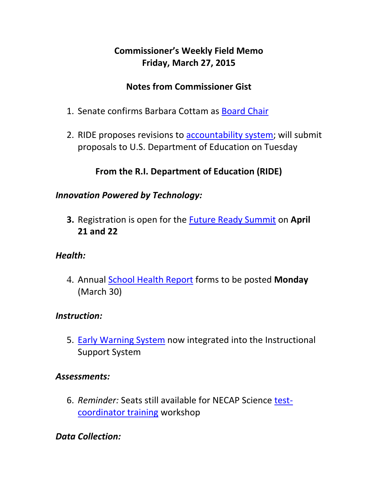### **Commissioner's Weekly Field Memo Friday, March 27, 2015**

#### **Notes from Commissioner Gist**

- 1. Senate confirms Barbara Cottam as [Board Chair](#page-2-0)
- 2. RIDE proposes revisions to [accountability system;](#page-2-1) will submit proposals to U.S. Department of Education on Tuesday

### **From the R.I. Department of Education (RIDE)**

#### *Innovation Powered by Technology:*

**3.** Registration is open for the [Future Ready Summit](#page-5-0) on **April 21 and 22**

#### *Health:*

4. Annual [School Health Report](#page-6-0) forms to be posted **Monday** (March 30)

#### *Instruction:*

5. [Early Warning System](#page-7-0) now integrated into the Instructional Support System

#### *Assessments:*

6. *Reminder:* Seats still available for NECAP Science [test](#page-7-1)[coordinator training](#page-7-1) workshop

#### *Data Collection:*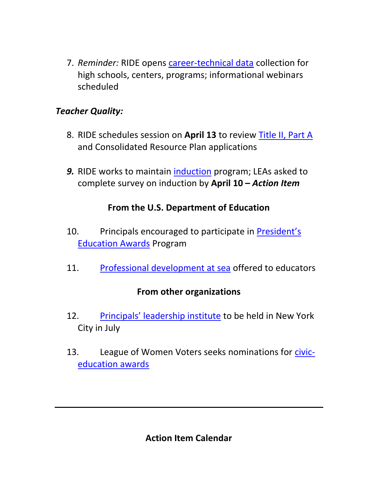7. *Reminder:* RIDE opens [career-technical data](#page-8-0) collection for high schools, centers, programs; informational webinars scheduled

#### *Teacher Quality:*

- 8. RIDE schedules session on **April 13** to review [Title II, Part A](#page-10-0) and Consolidated Resource Plan applications
- *9.* RIDE works to maintain [induction](#page-10-1) program; LEAs asked to complete survey on induction by **April 10 –** *Action Item*

### **From the U.S. Department of Education**

- 10. Principals encouraged to participate in [President's](#page-11-0)  [Education Awards](#page-11-0) Program
- 11. [Professional development at sea](#page-14-0) offered to educators

#### **From other organizations**

- 12. [Principals' leadership institute](#page-12-0) to be held in New York City in July
- 13. League of Women Voters seeks nominations for [civic](#page-13-0)[education awards](#page-13-0)

**Action Item Calendar**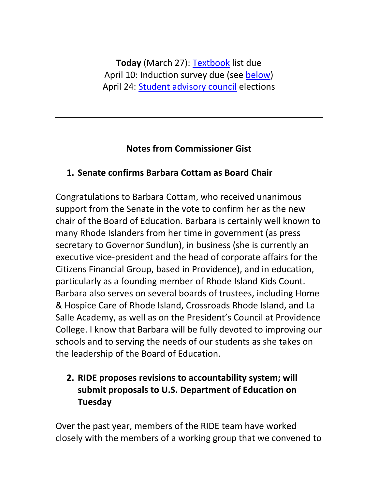**Today** (March 27): [Textbook](http://www.ride.ri.gov/Portals/0/Uploads/Documents/FieldMemos/030615-FM.pdf) list due April 10: Induction survey due (see [below\)](#page-10-1) April 24: [Student advisory council](http://www.ride.ri.gov/Portals/0/Uploads/Documents/FieldMemos/032015-FM.pdf) elections

#### **Notes from Commissioner Gist**

### <span id="page-2-0"></span>**1. Senate confirms Barbara Cottam as Board Chair**

Congratulations to Barbara Cottam, who received unanimous support from the Senate in the vote to confirm her as the new chair of the Board of Education. Barbara is certainly well known to many Rhode Islanders from her time in government (as press secretary to Governor Sundlun), in business (she is currently an executive vice-president and the head of corporate affairs for the Citizens Financial Group, based in Providence), and in education, particularly as a founding member of Rhode Island Kids Count. Barbara also serves on several boards of trustees, including Home & Hospice Care of Rhode Island, Crossroads Rhode Island, and La Salle Academy, as well as on the President's Council at Providence College. I know that Barbara will be fully devoted to improving our schools and to serving the needs of our students as she takes on the leadership of the Board of Education.

# <span id="page-2-1"></span>**2. RIDE proposes revisions to accountability system; will submit proposals to U.S. Department of Education on Tuesday**

Over the past year, members of the RIDE team have worked closely with the members of a working group that we convened to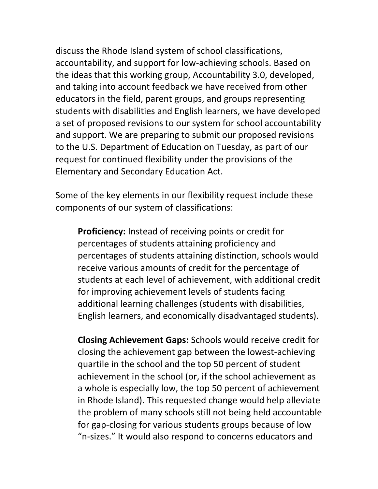discuss the Rhode Island system of school classifications, accountability, and support for low-achieving schools. Based on the ideas that this working group, Accountability 3.0, developed, and taking into account feedback we have received from other educators in the field, parent groups, and groups representing students with disabilities and English learners, we have developed a set of proposed revisions to our system for school accountability and support. We are preparing to submit our proposed revisions to the U.S. Department of Education on Tuesday, as part of our request for continued flexibility under the provisions of the Elementary and Secondary Education Act.

Some of the key elements in our flexibility request include these components of our system of classifications:

**Proficiency:** Instead of receiving points or credit for percentages of students attaining proficiency and percentages of students attaining distinction, schools would receive various amounts of credit for the percentage of students at each level of achievement, with additional credit for improving achievement levels of students facing additional learning challenges (students with disabilities, English learners, and economically disadvantaged students).

**Closing Achievement Gaps:** Schools would receive credit for closing the achievement gap between the lowest-achieving quartile in the school and the top 50 percent of student achievement in the school (or, if the school achievement as a whole is especially low, the top 50 percent of achievement in Rhode Island). This requested change would help alleviate the problem of many schools still not being held accountable for gap-closing for various students groups because of low "n-sizes." It would also respond to concerns educators and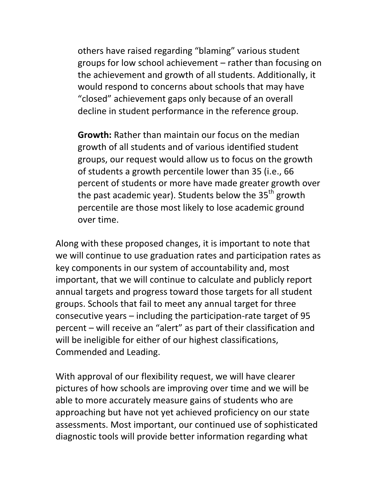others have raised regarding "blaming" various student groups for low school achievement – rather than focusing on the achievement and growth of all students. Additionally, it would respond to concerns about schools that may have "closed" achievement gaps only because of an overall decline in student performance in the reference group.

**Growth:** Rather than maintain our focus on the median growth of all students and of various identified student groups, our request would allow us to focus on the growth of students a growth percentile lower than 35 (i.e., 66 percent of students or more have made greater growth over the past academic year). Students below the  $35<sup>th</sup>$  growth percentile are those most likely to lose academic ground over time.

Along with these proposed changes, it is important to note that we will continue to use graduation rates and participation rates as key components in our system of accountability and, most important, that we will continue to calculate and publicly report annual targets and progress toward those targets for all student groups. Schools that fail to meet any annual target for three consecutive years – including the participation-rate target of 95 percent – will receive an "alert" as part of their classification and will be ineligible for either of our highest classifications, Commended and Leading.

With approval of our flexibility request, we will have clearer pictures of how schools are improving over time and we will be able to more accurately measure gains of students who are approaching but have not yet achieved proficiency on our state assessments. Most important, our continued use of sophisticated diagnostic tools will provide better information regarding what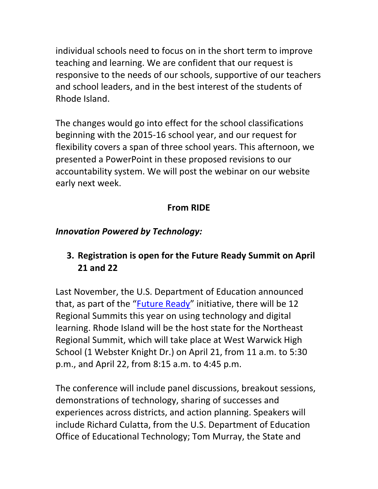individual schools need to focus on in the short term to improve teaching and learning. We are confident that our request is responsive to the needs of our schools, supportive of our teachers and school leaders, and in the best interest of the students of Rhode Island.

The changes would go into effect for the school classifications beginning with the 2015-16 school year, and our request for flexibility covers a span of three school years. This afternoon, we presented a PowerPoint in these proposed revisions to our accountability system. We will post the webinar on our website early next week.

# **From RIDE**

# *Innovation Powered by Technology:*

# <span id="page-5-0"></span>**3. Registration is open for the Future Ready Summit on April 21 and 22**

Last November, the U.S. Department of Education announced that, as part of the "[Future Ready](http://www.futurereadyschools.org/site/default.aspx?PageID=1)" initiative, there will be 12 Regional Summits this year on using technology and digital learning. Rhode Island will be the host state for the Northeast Regional Summit, which will take place at West Warwick High School (1 Webster Knight Dr.) on April 21, from 11 a.m. to 5:30 p.m., and April 22, from 8:15 a.m. to 4:45 p.m.

The conference will include panel discussions, breakout sessions, demonstrations of technology, sharing of successes and experiences across districts, and action planning. Speakers will include Richard Culatta, from the U.S. Department of Education Office of Educational Technology; Tom Murray, the State and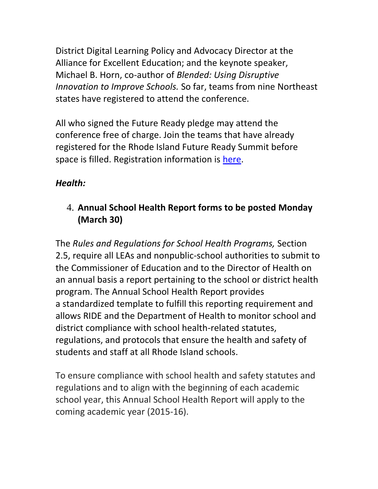District Digital Learning Policy and Advocacy Director at the Alliance for Excellent Education; and the keynote speaker, Michael B. Horn, co-author of *Blended: Using Disruptive Innovation to Improve Schools.* So far, teams from nine Northeast states have registered to attend the conference.

All who signed the Future Ready pledge may attend the conference free of charge. Join the teams that have already registered for the Rhode Island Future Ready Summit before space is filled. Registration information is [here.](http://futureready.schoolwires.net/site/Default.aspx?PageID=62)

# *Health:*

# <span id="page-6-0"></span>4. **Annual School Health Report forms to be posted Monday (March 30)**

The *Rules and Regulations for School Health Programs,* Section 2.5, require all LEAs and nonpublic-school authorities to submit to the Commissioner of Education and to the Director of Health on an annual basis a report pertaining to the school or district health program. The Annual School Health Report provides a standardized template to fulfill this reporting requirement and allows RIDE and the Department of Health to monitor school and district compliance with school health-related statutes, regulations, and protocols that ensure the health and safety of students and staff at all Rhode Island schools.

To ensure compliance with school health and safety statutes and regulations and to align with the beginning of each academic school year, this Annual School Health Report will apply to the coming academic year (2015-16).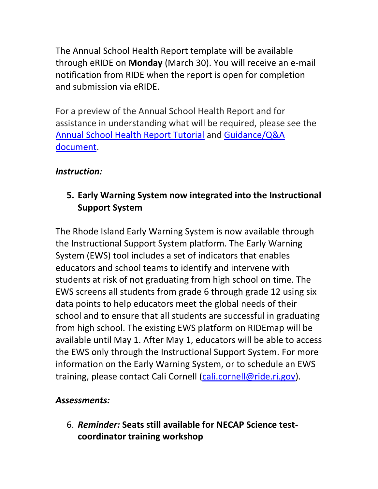The Annual School Health Report template will be available through eRIDE on **Monday** (March 30). You will receive an e-mail notification from RIDE when the report is open for completion and submission via eRIDE.

For a preview of the Annual School Health Report and for assistance in understanding what will be required, please see the [Annual School Health Report Tutorial](https://learn.aero.und.edu/pages.asp?PageID=177618) and [Guidance/Q&A](https://learn.aero.und.edu/pages.asp?PageID=209755)  [document.](https://learn.aero.und.edu/pages.asp?PageID=209755)

#### *Instruction:*

### <span id="page-7-0"></span>**5. Early Warning System now integrated into the Instructional Support System**

The Rhode Island Early Warning System is now available through the Instructional Support System platform. The Early Warning System (EWS) tool includes a set of indicators that enables educators and school teams to identify and intervene with students at risk of not graduating from high school on time. The EWS screens all students from grade 6 through grade 12 using six data points to help educators meet the global needs of their school and to ensure that all students are successful in graduating from high school. The existing EWS platform on RIDEmap will be available until May 1. After May 1, educators will be able to access the EWS only through the Instructional Support System. For more information on the Early Warning System, or to schedule an EWS training, please contact Cali Cornell [\(cali.cornell@ride.ri.gov\)](mailto:cali.cornell@ride.ri.gov).

#### *Assessments:*

<span id="page-7-1"></span>6. *Reminder:* **Seats still available for NECAP Science testcoordinator training workshop**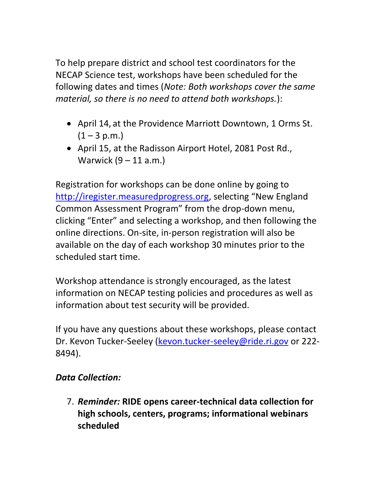To help prepare district and school test coordinators for the NECAP Science test, workshops have been scheduled for the following dates and times (*Note: Both workshops cover the same material, so there is no need to attend both workshops.*):

- April 14, at the Providence Marriott Downtown, 1 Orms St.  $(1 - 3 p.m.)$
- April 15, at the Radisson Airport Hotel, 2081 Post Rd., Warwick (9 – 11 a.m.)

Registration for workshops can be done online by going to [http://iregister.measuredprogress.org](http://iregister.measuredprogress.org/), selecting "New England Common Assessment Program" from the drop-down menu, clicking "Enter" and selecting a workshop, and then following the online directions. On-site, in-person registration will also be available on the day of each workshop 30 minutes prior to the scheduled start time.

Workshop attendance is strongly encouraged, as the latest information on NECAP testing policies and procedures as well as information about test security will be provided.

If you have any questions about these workshops, please contact Dr. Kevon Tucker-Seeley [\(kevon.tucker-seeley@ride.ri.gov](mailto:kevon.tucker-seeley@ride.ri.gov) or 222- 8494).

#### *Data Collection:*

<span id="page-8-0"></span>7. *Reminder:* **RIDE opens career-technical data collection for high schools, centers, programs; informational webinars scheduled**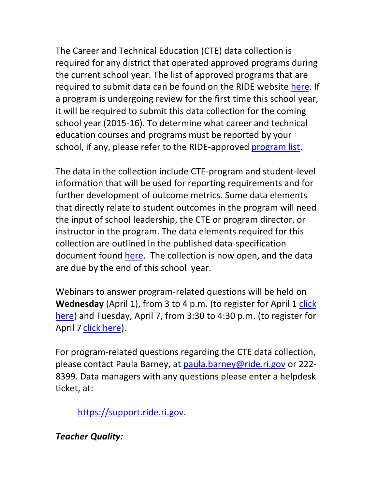The Career and Technical Education (CTE) data collection is required for any district that operated approved programs during the current school year. The list of approved programs that are required to submit data can be found on the RIDE website [here.](http://www.ride.ri.gov/Portals/0/Uploads/Documents/Students-and-Families-Great-Schools/Educational-Programming/Career-and-Tech/Family_Student_Approved_Programs_List_September_2014.pdf) If a program is undergoing review for the first time this school year, it will be required to submit this data collection for the coming school year (2015-16). To determine what career and technical education courses and programs must be reported by your school, if any, please refer to the RIDE-approved [program list.](http://www.ride.ri.gov/Portals/0/Uploads/Documents/Students-and-Families-Great-Schools/Educational-Programming/Career-and-Tech/Family_Student_Approved_Programs_List_September_2014.pdf)

The data in the collection include CTE-program and student-level information that will be used for reporting requirements and for further development of outcome metrics. Some data elements that directly relate to student outcomes in the program will need the input of school leadership, the CTE or program director, or instructor in the program. The data elements required for this collection are outlined in the published data-specification document found [here.](http://www.ride.ri.gov/Portals/0/Uploads/Documents/Information-and-Accountability-User-Friendly-Data/Data-Resources/Data-Collections/CareerTechnicalEducation.pdf) The collection is now open, and the data are due by the end of this school year.

Webinars to answer program-related questions will be held on **Wednesday** (April 1), from 3 to 4 p.m. (to register for April 1 click [here\)](https://attendee.gotowebinar.com/register/999645550684406530) and Tuesday, April 7, from 3:30 to 4:30 p.m. (to register for April 7 [click here\)](https://attendee.gotowebinar.com/register/8823567983798952450).

For program-related questions regarding the CTE data collection, please contact Paula Barney, at [paula.barney@ride.ri.gov](mailto:paula.barney@ride.ri.gov) or 222- 8399. Data managers with any questions please enter a helpdesk ticket, at:

[https://support.ride.ri.gov.](https://support.ride.ri.gov/)

*Teacher Quality:*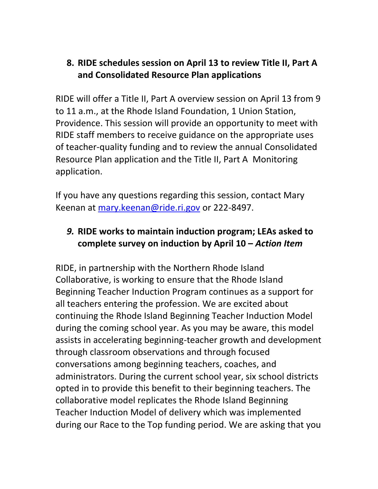### <span id="page-10-0"></span>**8. RIDE schedules session on April 13 to review Title II, Part A and Consolidated Resource Plan applications**

RIDE will offer a Title II, Part A overview session on April 13 from 9 to 11 a.m., at the Rhode Island Foundation, 1 Union Station, Providence. This session will provide an opportunity to meet with RIDE staff members to receive guidance on the appropriate uses of teacher-quality funding and to review the annual Consolidated Resource Plan application and the Title II, Part A Monitoring application.

If you have any questions regarding this session, contact Mary Keenan at [mary.keenan@ride.ri.gov](mailto:mary.keenan@ride.ri.gov) or 222-8497.

### <span id="page-10-1"></span>*9.* **RIDE works to maintain induction program; LEAs asked to complete survey on induction by April 10 –** *Action Item*

RIDE, in partnership with the Northern Rhode Island Collaborative, is working to ensure that the Rhode Island Beginning Teacher Induction Program continues as a support for all teachers entering the profession. We are excited about continuing the Rhode Island Beginning Teacher Induction Model during the coming school year. As you may be aware, this model assists in accelerating beginning-teacher growth and development through classroom observations and through focused conversations among beginning teachers, coaches, and administrators. During the current school year, six school districts opted in to provide this benefit to their beginning teachers. The collaborative model replicates the Rhode Island Beginning Teacher Induction Model of delivery which was implemented during our Race to the Top funding period. We are asking that you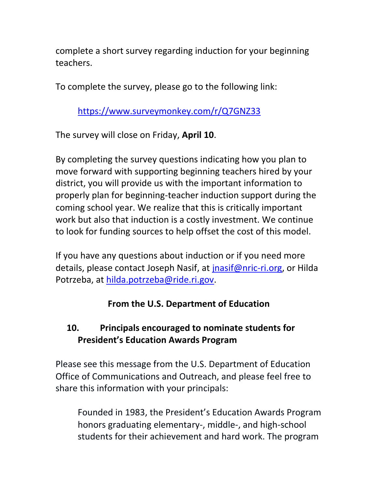complete a short survey regarding induction for your beginning teachers.

To complete the survey, please go to the following link:

<https://www.surveymonkey.com/r/Q7GNZ33>

The survey will close on Friday, **April 10**.

By completing the survey questions indicating how you plan to move forward with supporting beginning teachers hired by your district, you will provide us with the important information to properly plan for beginning-teacher induction support during the coming school year. We realize that this is critically important work but also that induction is a costly investment. We continue to look for funding sources to help offset the cost of this model.

If you have any questions about induction or if you need more details, please contact Joseph Nasif, at [jnasif@nric-ri.org,](mailto:jnasif@nric-ri.org) or Hilda Potrzeba, at [hilda.potrzeba@ride.ri.gov.](mailto:hilda.potrzeba@ride.ri.gov)

# **From the U.S. Department of Education**

# <span id="page-11-0"></span>**10. Principals encouraged to nominate students for President's Education Awards Program**

Please see this message from the U.S. Department of Education Office of Communications and Outreach, and please feel free to share this information with your principals:

Founded in 1983, the President's Education Awards Program honors graduating elementary-, middle-, and high-school students for their achievement and hard work. The program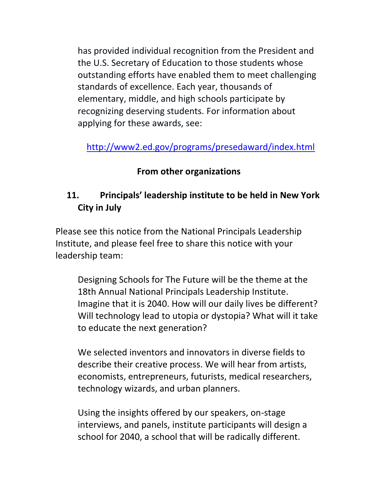has provided individual recognition from the President and the U.S. Secretary of Education to those students whose outstanding efforts have enabled them to meet challenging standards of excellence. Each year, thousands of elementary, middle, and high schools participate by recognizing deserving students. For information about applying for these awards, see:

<http://www2.ed.gov/programs/presedaward/index.html>

#### **From other organizations**

# <span id="page-12-0"></span>**11. Principals' leadership institute to be held in New York City in July**

Please see this notice from the National Principals Leadership Institute, and please feel free to share this notice with your leadership team:

Designing Schools for The Future will be the theme at the 18th Annual National Principals Leadership Institute. Imagine that it is 2040. How will our daily lives be different? Will technology lead to utopia or dystopia? What will it take to educate the next generation?

We selected inventors and innovators in diverse fields to describe their creative process. We will hear from artists, economists, entrepreneurs, futurists, medical researchers, technology wizards, and urban planners.

Using the insights offered by our speakers, on-stage interviews, and panels, institute participants will design a school for 2040, a school that will be radically different.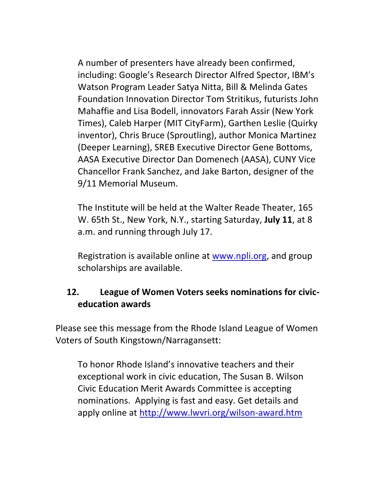A number of presenters have already been confirmed, including: Google's Research Director Alfred Spector, IBM's Watson Program Leader Satya Nitta, Bill & Melinda Gates Foundation Innovation Director Tom Stritikus, futurists John Mahaffie and Lisa Bodell, innovators Farah Assir (New York Times), Caleb Harper (MIT CityFarm), Garthen Leslie (Quirky inventor), Chris Bruce (Sproutling), author Monica Martinez (Deeper Learning), SREB Executive Director Gene Bottoms, AASA Executive Director Dan Domenech (AASA), CUNY Vice Chancellor Frank Sanchez, and Jake Barton, designer of the 9/11 Memorial Museum.

The Institute will be held at the Walter Reade Theater, 165 W. 65th St., New York, N.Y., starting Saturday, **July 11**, at 8 a.m. and running through July 17.

Registration is available online at [www.npli.org,](http://www.npli.org/) and group scholarships are available.

#### <span id="page-13-0"></span>**12. League of Women Voters seeks nominations for civiceducation awards**

Please see this message from the Rhode Island League of Women Voters of South Kingstown/Narragansett:

To honor Rhode Island's innovative teachers and their exceptional work in civic education, The Susan B. Wilson Civic Education Merit Awards Committee is accepting nominations. Applying is fast and easy. Get details and apply online at<http://www.lwvri.org/wilson-award.htm>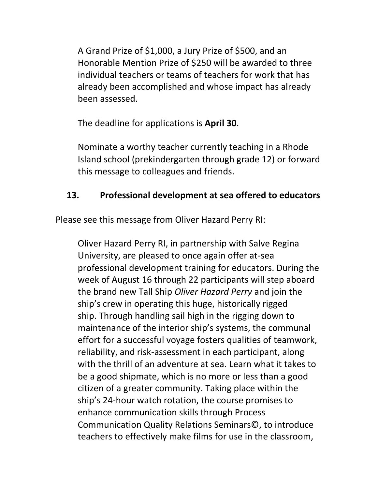A Grand Prize of \$1,000, a Jury Prize of \$500, and an Honorable Mention Prize of \$250 will be awarded to three individual teachers or teams of teachers for work that has already been accomplished and whose impact has already been assessed.

The deadline for applications is **April 30**.

Nominate a worthy teacher currently teaching in a Rhode Island school (prekindergarten through grade 12) or forward this message to colleagues and friends.

#### <span id="page-14-0"></span>**13. Professional development at sea offered to educators**

Please see this message from Oliver Hazard Perry RI:

Oliver Hazard Perry RI, in partnership with Salve Regina University, are pleased to once again offer at-sea professional development training for educators. During the week of August 16 through 22 participants will step aboard the brand new Tall Ship *Oliver Hazard Perry* and join the ship's crew in operating this huge, historically rigged ship. Through handling sail high in the rigging down to maintenance of the interior ship's systems, the communal effort for a successful voyage fosters qualities of teamwork, reliability, and risk-assessment in each participant, along with the thrill of an adventure at sea. Learn what it takes to be a good shipmate, which is no more or less than a good citizen of a greater community. Taking place within the ship's 24-hour watch rotation, the course promises to enhance communication skills through Process Communication Quality Relations Seminars©, to introduce teachers to effectively make films for use in the classroom,